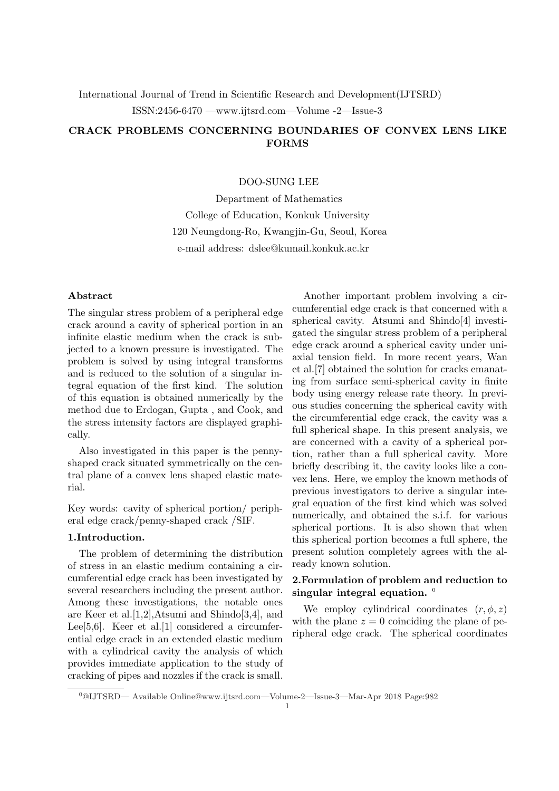International Journal of Trend in Scientific Research and Development(IJTSRD) ISSN:2456-6470 —www.ijtsrd.com—Volume -2—Issue-3

# CRACK PROBLEMS CONCERNING BOUNDARIES OF CONVEX LENS LIKE FORMS

## DOO-SUNG LEE

Department of Mathematics College of Education, Konkuk University 120 Neungdong-Ro, Kwangjin-Gu, Seoul, Korea e-mail address: dslee@kumail.konkuk.ac.kr

# Abstract

The singular stress problem of a peripheral edge crack around a cavity of spherical portion in an infinite elastic medium when the crack is subjected to a known pressure is investigated. The problem is solved by using integral transforms and is reduced to the solution of a singular integral equation of the first kind. The solution of this equation is obtained numerically by the method due to Erdogan, Gupta , and Cook, and the stress intensity factors are displayed graphically.

Also investigated in this paper is the pennyshaped crack situated symmetrically on the central plane of a convex lens shaped elastic material.

Key words: cavity of spherical portion/ peripheral edge crack/penny-shaped crack /SIF.

### 1.Introduction.

The problem of determining the distribution of stress in an elastic medium containing a circumferential edge crack has been investigated by several researchers including the present author. Among these investigations, the notable ones are Keer et al.[1,2],Atsumi and Shindo[3,4], and Lee<sup>[5,6]</sup>. Keer et al.<sup>[1]</sup> considered a circumferential edge crack in an extended elastic medium with a cylindrical cavity the analysis of which provides immediate application to the study of cracking of pipes and nozzles if the crack is small.

Another important problem involving a circumferential edge crack is that concerned with a spherical cavity. Atsumi and Shindo[4] investigated the singular stress problem of a peripheral edge crack around a spherical cavity under uniaxial tension field. In more recent years, Wan et al.[7] obtained the solution for cracks emanating from surface semi-spherical cavity in finite body using energy release rate theory. In previous studies concerning the spherical cavity with the circumferential edge crack, the cavity was a full spherical shape. In this present analysis, we are concerned with a cavity of a spherical portion, rather than a full spherical cavity. More briefly describing it, the cavity looks like a convex lens. Here, we employ the known methods of previous investigators to derive a singular integral equation of the first kind which was solved numerically, and obtained the s.i.f. for various spherical portions. It is also shown that when this spherical portion becomes a full sphere, the present solution completely agrees with the already known solution.

# 2.Formulation of problem and reduction to singular integral equation.  $\theta$

We employ cylindrical coordinates  $(r, \phi, z)$ with the plane  $z = 0$  coinciding the plane of peripheral edge crack. The spherical coordinates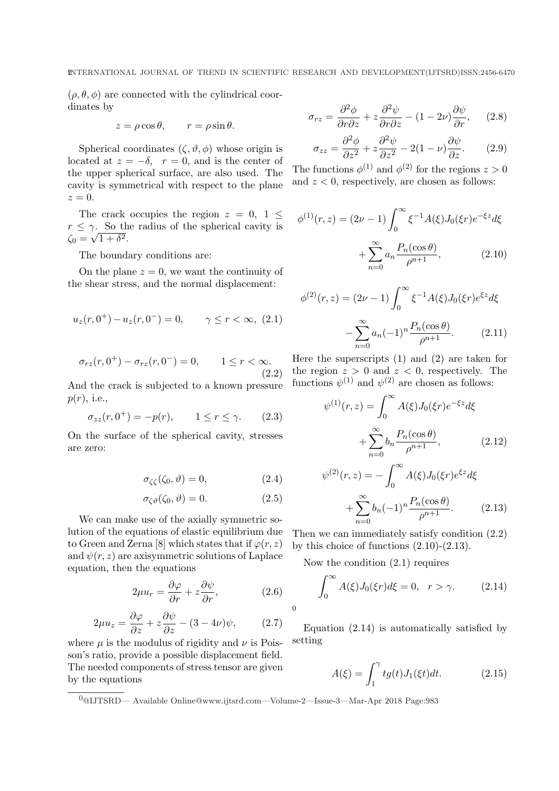$(\rho, \theta, \phi)$  are connected with the cylindrical coordinates by

$$
z = \rho \cos \theta
$$
,  $r = \rho \sin \theta$ .

Spherical coordinates  $(\zeta, \vartheta, \phi)$  whose origin is located at  $z = -\delta$ ,  $r = 0$ , and is the center of the upper spherical surface, are also used. The cavity is symmetrical with respect to the plane  $z=0.$ 

The crack occupies the region  $z = 0, 1 \leq$  $r \leq \gamma$ . So the radius of the spherical cavity is  $\zeta_0 = \sqrt{1+\delta^2}.$ 

The boundary conditions are:

On the plane  $z = 0$ , we want the continuity of the shear stress, and the normal displacement:

$$
u_z(r, 0^+) - u_z(r, 0^-) = 0, \qquad \gamma \le r < \infty, \ (2.1)
$$

$$
\sigma_{rz}(r, 0^+) - \sigma_{rz}(r, 0^-) = 0, \qquad 1 \le r < \infty.
$$
\n(2.2)

And the crack is subjected to a known pressure  $p(r)$ , i.e.,

$$
\sigma_{zz}(r, 0^+) = -p(r), \qquad 1 \le r \le \gamma. \tag{2.3}
$$

On the surface of the spherical cavity, stresses are zero:

$$
\sigma_{\zeta\zeta}(\zeta_0, \vartheta) = 0,\tag{2.4}
$$

$$
\sigma_{\zeta\vartheta}(\zeta_0, \vartheta) = 0. \tag{2.5}
$$

We can make use of the axially symmetric solution of the equations of elastic equilibrium due to Green and Zerna [8] which states that if  $\varphi(r, z)$ and  $\psi(r, z)$  are axisymmetric solutions of Laplace equation, then the equations

$$
2\mu u_r = \frac{\partial \varphi}{\partial r} + z \frac{\partial \psi}{\partial r},\qquad (2.6)
$$

$$
2\mu u_z = \frac{\partial \varphi}{\partial z} + z \frac{\partial \psi}{\partial z} - (3 - 4\nu)\psi, \qquad (2.7)
$$

where  $\mu$  is the modulus of rigidity and  $\nu$  is Poisson's ratio, provide a possible displacement field. The needed components of stress tensor are given by the equations

$$
\sigma_{rz} = \frac{\partial^2 \phi}{\partial r \partial z} + z \frac{\partial^2 \psi}{\partial r \partial z} - (1 - 2\nu) \frac{\partial \psi}{\partial r}, \qquad (2.8)
$$

$$
\sigma_{zz} = \frac{\partial^2 \phi}{\partial z^2} + z \frac{\partial^2 \psi}{\partial z^2} - 2(1 - \nu) \frac{\partial \psi}{\partial z}.
$$
 (2.9)

The functions  $\phi^{(1)}$  and  $\phi^{(2)}$  for the regions  $z > 0$ and  $z < 0$ , respectively, are chosen as follows:

$$
\phi^{(1)}(r,z) = (2\nu - 1) \int_0^\infty \xi^{-1} A(\xi) J_0(\xi r) e^{-\xi z} d\xi
$$

$$
+ \sum_{n=0}^\infty a_n \frac{P_n(\cos \theta)}{\rho^{n+1}}, \qquad (2.10)
$$

$$
\phi^{(2)}(r,z) = (2\nu - 1) \int_0^\infty \xi^{-1} A(\xi) J_0(\xi r) e^{\xi z} d\xi
$$

$$
- \sum_{n=0}^\infty a_n (-1)^n \frac{P_n(\cos \theta)}{\rho^{n+1}}.
$$
(2.11)

Here the superscripts (1) and (2) are taken for the region  $z > 0$  and  $z < 0$ , respectively. The functions  $\psi^{(1)}$  and  $\psi^{(2)}$  are chosen as follows:

$$
\psi^{(1)}(r,z) = \int_0^\infty A(\xi)J_0(\xi r)e^{-\xi z}d\xi
$$

$$
+\sum_{n=0}^\infty b_n \frac{P_n(\cos \theta)}{\rho^{n+1}}, \qquad (2.12)
$$

$$
\psi^{(2)}(r,z) = -\int_0^\infty A(\xi)J_0(\xi r)e^{\xi z}d\xi
$$

$$
+\sum_{n=0}^{\infty} b_n (-1)^n \frac{P_n(\cos \theta)}{\rho^{n+1}}.
$$
 (2.13)

Then we can immediately satisfy condition (2.2) by this choice of functions  $(2.10)-(2.13)$ .

Now the condition (2.1) requires

$$
\int_0^\infty A(\xi)J_0(\xi r)d\xi = 0, \quad r > \gamma. \tag{2.14}
$$

Equation (2.14) is automatically satisfied by setting

$$
A(\xi) = \int_1^{\gamma} t g(t) J_1(\xi t) dt.
$$
 (2.15)

0

<sup>0</sup>@IJTSRD— Available Online@www.ijtsrd.com—Volume-2—Issue-3—Mar-Apr 2018 Page:983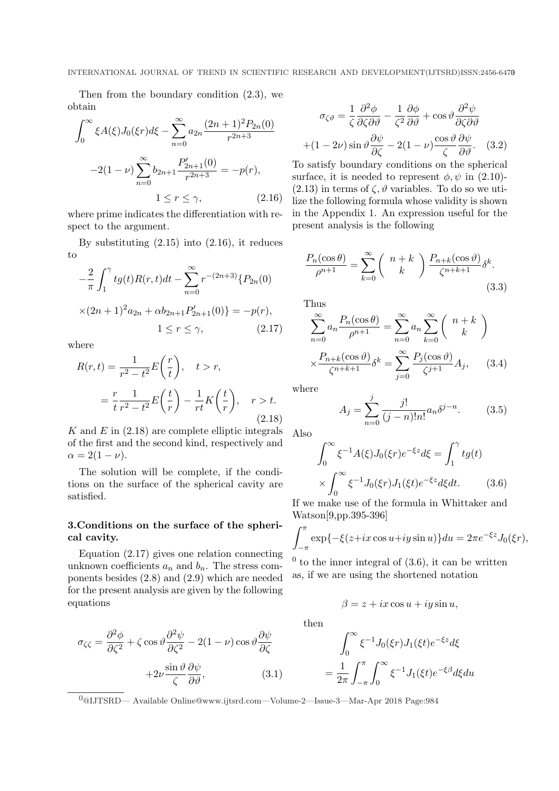Then from the boundary condition (2.3), we obtain

$$
\int_0^\infty \xi A(\xi) J_0(\xi r) d\xi - \sum_{n=0}^\infty a_{2n} \frac{(2n+1)^2 P_{2n}(0)}{r^{2n+3}}
$$

$$
-2(1-\nu) \sum_{n=0}^\infty b_{2n+1} \frac{P'_{2n+1}(0)}{r^{2n+3}} = -p(r),
$$

$$
1 \le r \le \gamma,
$$
 (2.16)

where prime indicates the differentiation with respect to the argument.

By substituting  $(2.15)$  into  $(2.16)$ , it reduces to

$$
-\frac{2}{\pi} \int_1^{\gamma} t g(t) R(r, t) dt - \sum_{n=0}^{\infty} r^{-(2n+3)} \{ P_{2n}(0) \times (2n+1)^2 a_{2n} + \alpha b_{2n+1} P'_{2n+1}(0) \} = -p(r),
$$
  

$$
1 \le r \le \gamma,
$$
 (2.17)

where

$$
R(r,t) = \frac{1}{r^2 - t^2} E\left(\frac{r}{t}\right), \quad t > r,
$$
  

$$
= \frac{r}{t} \frac{1}{r^2 - t^2} E\left(\frac{t}{r}\right) - \frac{1}{rt} K\left(\frac{t}{r}\right), \quad r > t.
$$
  
(2.18)

K and  $E$  in  $(2.18)$  are complete elliptic integrals of the first and the second kind, respectively and  $\alpha = 2(1-\nu).$ 

The solution will be complete, if the conditions on the surface of the spherical cavity are satisfied.

# 3.Conditions on the surface of the spherical cavity.

Equation (2.17) gives one relation connecting unknown coefficients  $a_n$  and  $b_n$ . The stress components besides (2.8) and (2.9) which are needed for the present analysis are given by the following equations

$$
\sigma_{\zeta\zeta} = \frac{\partial^2 \phi}{\partial \zeta^2} + \zeta \cos \vartheta \frac{\partial^2 \psi}{\partial \zeta^2} - 2(1 - \nu) \cos \vartheta \frac{\partial \psi}{\partial \zeta} + 2\nu \frac{\sin \vartheta}{\zeta} \frac{\partial \psi}{\partial \vartheta},
$$
(3.1)

$$
\sigma_{\zeta\vartheta} = \frac{1}{\zeta} \frac{\partial^2 \phi}{\partial \zeta \partial \vartheta} - \frac{1}{\zeta^2} \frac{\partial \phi}{\partial \vartheta} + \cos \vartheta \frac{\partial^2 \psi}{\partial \zeta \partial \vartheta} + (1 - 2\nu) \sin \vartheta \frac{\partial \psi}{\partial \zeta} - 2(1 - \nu) \frac{\cos \vartheta}{\zeta} \frac{\partial \psi}{\partial \vartheta}.
$$
 (3.2)

To satisfy boundary conditions on the spherical surface, it is needed to represent  $\phi, \psi$  in (2.10)- $(2.13)$  in terms of  $\zeta$ ,  $\vartheta$  variables. To do so we utilize the following formula whose validity is shown in the Appendix 1. An expression useful for the present analysis is the following

$$
\frac{P_n(\cos\theta)}{\rho^{n+1}} = \sum_{k=0}^{\infty} \binom{n+k}{k} \frac{P_{n+k}(\cos\theta)}{\zeta^{n+k+1}} \delta^k.
$$
\n(3.3)

Thus

$$
\sum_{n=0}^{\infty} a_n \frac{P_n(\cos \theta)}{\rho^{n+1}} = \sum_{n=0}^{\infty} a_n \sum_{k=0}^{\infty} {n+k \choose k}
$$

$$
\times \frac{P_{n+k}(\cos \theta)}{\zeta^{n+k+1}} \delta^k = \sum_{j=0}^{\infty} \frac{P_j(\cos \theta)}{\zeta^{j+1}} A_j, \quad (3.4)
$$

where

$$
A_j = \sum_{n=0}^{j} \frac{j!}{(j-n)!n!} a_n \delta^{j-n}.
$$
 (3.5)

Also

$$
\int_0^\infty \xi^{-1} A(\xi) J_0(\xi r) e^{-\xi z} d\xi = \int_1^\gamma t g(t)
$$

$$
\times \int_0^\infty \xi^{-1} J_0(\xi r) J_1(\xi t) e^{-\xi z} d\xi dt. \tag{3.6}
$$

If we make use of the formula in Whittaker and Watson[9,pp.395-396]

$$
\int_{-\pi}^{\pi} \exp\{-\xi(z+ix\cos u+iy\sin u)\} du = 2\pi e^{-\xi z}J_0(\xi r),
$$

 $<sup>0</sup>$  to the inner integral of  $(3.6)$ , it can be written</sup> as, if we are using the shortened notation

$$
\beta = z + ix \cos u + iy \sin u,
$$

then

$$
\int_0^\infty \xi^{-1} J_0(\xi r) J_1(\xi t) e^{-\xi z} d\xi
$$

$$
= \frac{1}{2\pi} \int_{-\pi}^{\pi} \int_0^\infty \xi^{-1} J_1(\xi t) e^{-\xi \beta} d\xi du
$$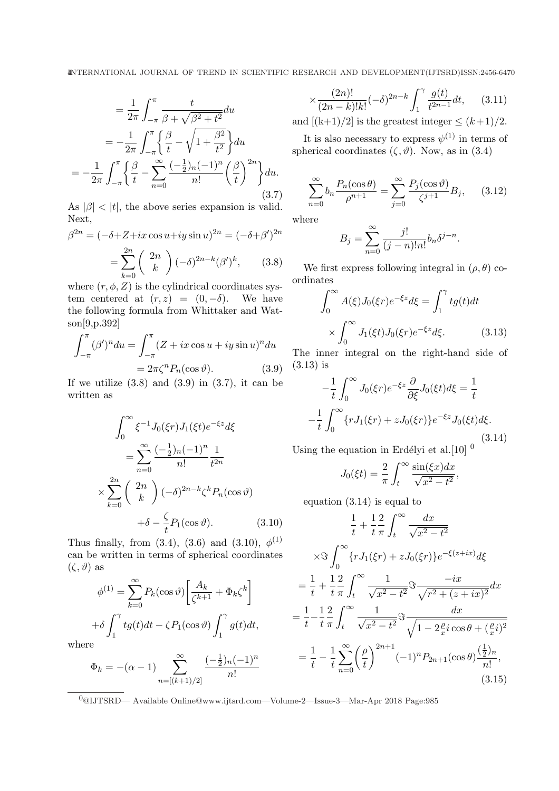$$
= \frac{1}{2\pi} \int_{-\pi}^{\pi} \frac{t}{\beta + \sqrt{\beta^2 + t^2}} du
$$
  

$$
= -\frac{1}{2\pi} \int_{-\pi}^{\pi} \left\{ \frac{\beta}{t} - \sqrt{1 + \frac{\beta^2}{t^2}} \right\} du
$$
  

$$
= -\frac{1}{2\pi} \int_{-\pi}^{\pi} \left\{ \frac{\beta}{t} - \sum_{n=0}^{\infty} \frac{(-\frac{1}{2})_n (-1)^n}{n!} \left(\frac{\beta}{t}\right)^{2n} \right\} du.
$$
  
(3.7)

As  $|\beta|$  <  $|t|$ , the above series expansion is valid. Next,

$$
\beta^{2n} = (-\delta + Z + ix \cos u + iy \sin u)^{2n} = (-\delta + \beta')^{2n}
$$

$$
= \sum_{k=0}^{2n} \binom{2n}{k} (-\delta)^{2n-k} (\beta')^k, \qquad (3.8)
$$

where  $(r, \phi, Z)$  is the cylindrical coordinates system centered at  $(r, z) = (0, -\delta)$ . We have the following formula from Whittaker and Watson[9,p.392]

$$
\int_{-\pi}^{\pi} (\beta')^n du = \int_{-\pi}^{\pi} (Z + ix \cos u + iy \sin u)^n du
$$

$$
= 2\pi \zeta^n P_n(\cos \vartheta). \tag{3.9}
$$

If we utilize  $(3.8)$  and  $(3.9)$  in  $(3.7)$ , it can be written as

$$
\int_0^\infty \xi^{-1} J_0(\xi r) J_1(\xi t) e^{-\xi z} d\xi
$$

$$
= \sum_{n=0}^\infty \frac{(-\frac{1}{2})_n (-1)^n}{n!} \frac{1}{t^{2n}}
$$

$$
\times \sum_{k=0}^{2n} {2n \choose k} (-\delta)^{2n-k} \zeta^k P_n(\cos \vartheta)
$$

$$
+ \delta - \frac{\zeta}{t} P_1(\cos \vartheta). \tag{3.10}
$$

Thus finally, from  $(3.4)$ ,  $(3.6)$  and  $(3.10)$ ,  $\phi^{(1)}$ can be written in terms of spherical coordinates  $(\zeta, \vartheta)$  as

$$
\phi^{(1)} = \sum_{k=0}^{\infty} P_k(\cos \vartheta) \left[ \frac{A_k}{\zeta^{k+1}} + \Phi_k \zeta^k \right]
$$

$$
+ \delta \int_1^{\gamma} t g(t) dt - \zeta P_1(\cos \vartheta) \int_1^{\gamma} g(t) dt,
$$

wher

$$
\Phi_k = -(\alpha - 1) \sum_{n = [(k+1)/2]}^{\infty} \frac{(-\frac{1}{2})_n (-1)^n}{n!}
$$

$$
\times \frac{(2n)!}{(2n-k)!k!}(-\delta)^{2n-k} \int_1^{\gamma} \frac{g(t)}{t^{2n-1}} dt, \qquad (3.11)
$$

and  $[(k+1)/2]$  is the greatest integer  $\leq (k+1)/2$ .

It is also necessary to express  $\psi^{(1)}$  in terms of spherical coordinates  $(\zeta, \vartheta)$ . Now, as in (3.4)

$$
\sum_{n=0}^{\infty} b_n \frac{P_n(\cos \theta)}{\rho^{n+1}} = \sum_{j=0}^{\infty} \frac{P_j(\cos \vartheta)}{\zeta^{j+1}} B_j, \quad (3.12)
$$

where

$$
B_j = \sum_{n=0}^{\infty} \frac{j!}{(j-n)!n!} b_n \delta^{j-n}.
$$

We first express following integral in  $(\rho, \theta)$  coordinates  $\int_{0}^{\infty}$ 

$$
\int_0^\infty A(\xi)J_0(\xi r)e^{-\xi z}d\xi = \int_1^\gamma tg(t)dt
$$

$$
\times \int_0^\infty J_1(\xi t)J_0(\xi r)e^{-\xi z}d\xi.
$$
(3.13)

The inner integral on the right-hand side of (3.13) is

$$
-\frac{1}{t} \int_0^\infty J_0(\xi r) e^{-\xi z} \frac{\partial}{\partial \xi} J_0(\xi t) d\xi = \frac{1}{t}
$$

$$
-\frac{1}{t} \int_0^\infty \{r J_1(\xi r) + z J_0(\xi r)\} e^{-\xi z} J_0(\xi t) d\xi.
$$
(3.14)

Using the equation in Erdélyi et al.  $[10]$ <sup>0</sup>

$$
J_0(\xi t) = \frac{2}{\pi} \int_t^\infty \frac{\sin(\xi x) dx}{\sqrt{x^2 - t^2}},
$$

equation (3.14) is equal to

$$
\frac{1}{t} + \frac{1}{t} \frac{2}{\pi} \int_{t}^{\infty} \frac{dx}{\sqrt{x^2 - t^2}}
$$
\n
$$
\times \Im \int_{0}^{\infty} \{r J_1(\xi r) + z J_0(\xi r)\} e^{-\xi (z+ix)} d\xi
$$
\n
$$
= \frac{1}{t} + \frac{1}{t} \frac{2}{\pi} \int_{t}^{\infty} \frac{1}{\sqrt{x^2 - t^2}} \Im \frac{-ix}{\sqrt{r^2 + (z+ix)^2}} dx
$$
\n
$$
= \frac{1}{t} - \frac{1}{t} \frac{2}{\pi} \int_{t}^{\infty} \frac{1}{\sqrt{x^2 - t^2}} \Im \frac{dx}{\sqrt{1 - 2\frac{\rho}{x} i \cos \theta + (\frac{\rho}{x} i)^2}}
$$
\n
$$
= \frac{1}{t} - \frac{1}{t} \sum_{n=0}^{\infty} (\frac{\rho}{t})^{2n+1} (-1)^n P_{2n+1}(\cos \theta) \frac{(\frac{1}{2})_n}{n!},
$$
\n(3.15)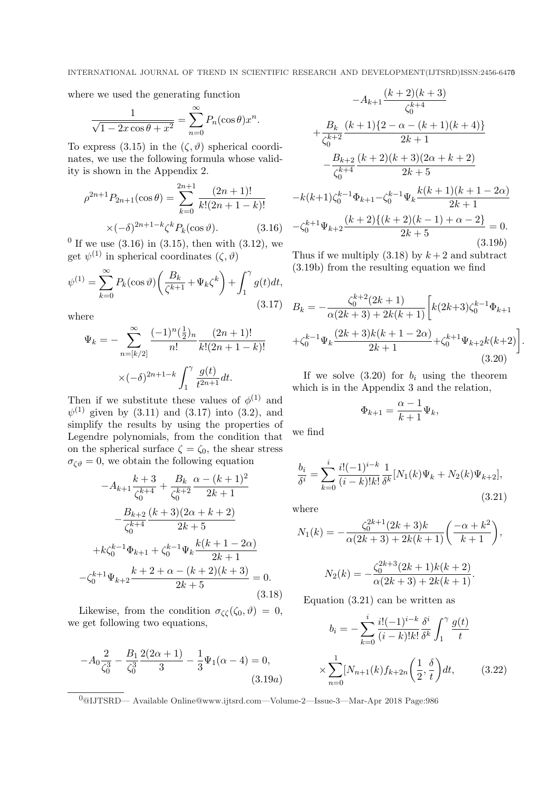where we used the generating function

$$
\frac{1}{\sqrt{1 - 2x\cos\theta + x^2}} = \sum_{n=0}^{\infty} P_n(\cos\theta) x^n.
$$

To express (3.15) in the  $(\zeta, \vartheta)$  spherical coordinates, we use the following formula whose validity is shown in the Appendix 2.

$$
\rho^{2n+1} P_{2n+1}(\cos \theta) = \sum_{k=0}^{2n+1} \frac{(2n+1)!}{k!(2n+1-k)!}
$$

$$
\times (-\delta)^{2n+1-k} \zeta^k P_k(\cos \vartheta). \tag{3.16}
$$

<sup>0</sup> If we use  $(3.16)$  in  $(3.15)$ , then with  $(3.12)$ , we get  $\psi^{(1)}$  in spherical coordinates  $(\zeta, \vartheta)$ 

$$
\psi^{(1)} = \sum_{k=0}^{\infty} P_k(\cos \vartheta) \left(\frac{B_k}{\zeta^{k+1}} + \Psi_k \zeta^k\right) + \int_1^{\gamma} g(t)dt,
$$
\n(3.17)

where

$$
\Psi_k = -\sum_{n=[k/2]}^{\infty} \frac{(-1)^n (\frac{1}{2})_n}{n!} \frac{(2n+1)!}{k!(2n+1-k)!}
$$

$$
\times (-\delta)^{2n+1-k} \int_1^{\gamma} \frac{g(t)}{t^{2n+1}} dt.
$$

Then if we substitute these values of  $\phi^{(1)}$  and  $\psi^{(1)}$  given by (3.11) and (3.17) into (3.2), and simplify the results by using the properties of Legendre polynomials, from the condition that on the spherical surface  $\zeta = \zeta_0$ , the shear stress  $\sigma_{\zeta\vartheta}=0$ , we obtain the following equation

$$
-A_{k+1}\frac{k+3}{\zeta_0^{k+4}} + \frac{B_k}{\zeta_0^{k+2}}\frac{\alpha - (k+1)^2}{2k+1}
$$

$$
-\frac{B_{k+2}}{\zeta_0^{k+4}}\frac{(k+3)(2\alpha + k + 2)}{2k+5}
$$

$$
+k\zeta_0^{k-1}\Phi_{k+1} + \zeta_0^{k-1}\Psi_k\frac{k(k+1-2\alpha)}{2k+1}
$$

$$
-\zeta_0^{k+1}\Psi_{k+2}\frac{k+2+\alpha - (k+2)(k+3)}{2k+5} = 0.
$$
(3.18)

Likewise, from the condition  $\sigma_{\zeta\zeta}(\zeta_0, \vartheta) = 0$ , we get following two equations,

$$
-A_0 \frac{2}{\zeta_0^3} - \frac{B_1}{\zeta_0^3} \frac{2(2\alpha + 1)}{3} - \frac{1}{3} \Psi_1(\alpha - 4) = 0,
$$
\n(3.19a)

$$
-A_{k+1} \frac{(k+2)(k+3)}{\zeta_0^{k+4}}
$$
  
+  $\frac{B_k}{\zeta_0^{k+2}} \frac{(k+1)\{2-\alpha-(k+1)(k+4)\}}{2k+1}$   
-  $\frac{B_{k+2}(k+2)(k+3)(2\alpha+k+2)}{2k+5}$   
-  $k(k+1)\zeta_0^{k-1}\Phi_{k+1}-\zeta_0^{k-1}\Psi_k \frac{k(k+1)(k+1-2\alpha)}{2k+1}$   
-  $\zeta_0^{k+1}\Psi_{k+2} \frac{(k+2)\{(k+2)(k-1)+\alpha-2\}}{2k+5} = 0.$  (3.19b)

Thus if we multiply  $(3.18)$  by  $k+2$  and subtract (3.19b) from the resulting equation we find

$$
B_k = -\frac{\zeta_0^{k+2}(2k+1)}{\alpha(2k+3) + 2k(k+1)} \left[ k(2k+3)\zeta_0^{k-1} \Phi_{k+1} + \zeta_0^{k-1} \Psi_k \frac{(2k+3)k(k+1-2\alpha)}{2k+1} + \zeta_0^{k+1} \Psi_{k+2} k(k+2) \right]
$$
\n(3.20)

.

If we solve  $(3.20)$  for  $b_i$  using the theorem which is in the Appendix 3 and the relation,

$$
\Phi_{k+1} = \frac{\alpha - 1}{k+1} \Psi_k,
$$

we find

$$
\frac{b_i}{\delta^i} = \sum_{k=0}^i \frac{i! (-1)^{i-k}}{(i-k)! k!} \frac{1}{\delta^k} [N_1(k)\Psi_k + N_2(k)\Psi_{k+2}],
$$
\n(3.21)

where

$$
N_1(k) = -\frac{\zeta_0^{2k+1}(2k+3)k}{\alpha(2k+3) + 2k(k+1)} \left(\frac{-\alpha + k^2}{k+1}\right),
$$

$$
N_2(k) = -\frac{\zeta_0^{2k+3}(2k+1)k(k+2)}{\alpha(2k+3) + 2k(k+1)}.
$$

Equation 
$$
(3.21)
$$
 can be written as

$$
b_i = -\sum_{k=0}^i \frac{i!(-1)^{i-k}}{(i-k)!k!} \frac{\delta^i}{\delta^k} \int_1^\gamma \frac{g(t)}{t} \times \sum_{n=0}^1 [N_{n+1}(k) f_{k+2n}\left(\frac{1}{2}, \frac{\delta}{t}\right) dt, \qquad (3.22)
$$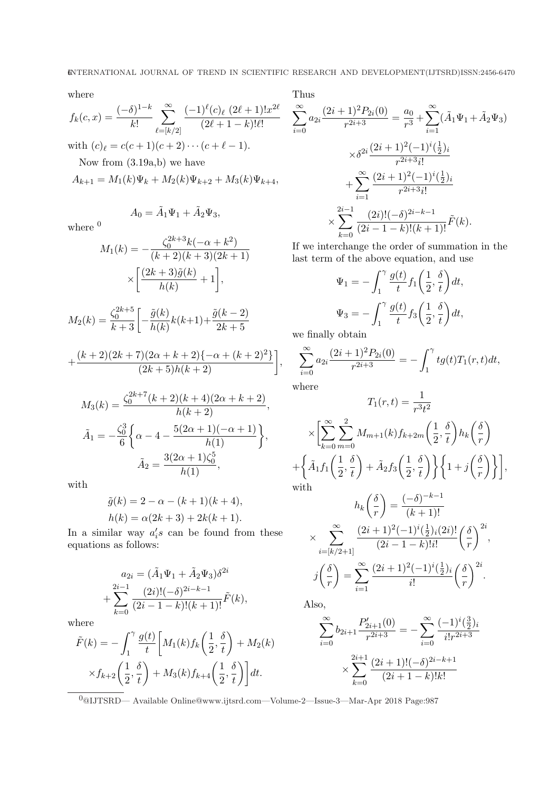where

$$
f_k(c, x) = \frac{(-\delta)^{1-k}}{k!} \sum_{\ell= [k/2]}^{\infty} \frac{(-1)^{\ell}(c)_{\ell} (2\ell+1)! x^{2\ell}}{(2\ell+1-k)! \ell!}
$$
  
with  $(c)_{\ell} = c(c+1)(c+2) \cdots (c+\ell-1).$   
Now from (3.19a,b) we have  

$$
A_{k+1} = M_1(k)\Psi_k + M_2(k)\Psi_{k+2} + M_3(k)\Psi_{k+4},
$$

where  $^0$ 

$$
M_1(k) = -\frac{\zeta_0^{2k+3}k(-\alpha + k^2)}{(k+2)(k+3)(2k+1)}
$$

$$
\times \left[ \frac{(2k+3)\tilde{g}(k)}{h(k)} + 1 \right],
$$

 $A_0 = \tilde{A}_1 \Psi_1 + \tilde{A}_2 \Psi_3,$ 

$$
M_2(k) = \frac{\zeta_0^{2k+5}}{k+3} \left[ -\frac{\tilde{g}(k)}{h(k)} k(k+1) + \frac{\tilde{g}(k-2)}{2k+5} \right]
$$

$$
+\frac{(k+2)(2k+7)(2\alpha+k+2)\{-\alpha+(k+2)^2\}}{(2k+5)h(k+2)}\bigg],
$$

$$
M_3(k) = \frac{\zeta_0^{2k+7}(k+2)(k+4)(2\alpha + k + 2)}{h(k+2)},
$$
  

$$
\tilde{A}_1 = -\frac{\zeta_0^3}{6} \left\{ \alpha - 4 - \frac{5(2\alpha + 1)(-\alpha + 1)}{h(1)} \right\},
$$
  

$$
\tilde{A}_2 = \frac{3(2\alpha + 1)\zeta_0^5}{h(1)},
$$

with

$$
\tilde{g}(k) = 2 - \alpha - (k+1)(k+4), h(k) = \alpha(2k+3) + 2k(k+1).
$$

In a similar way  $a_i's$  can be found from these equations as follows:

$$
a_{2i} = (\tilde{A}_1 \Psi_1 + \tilde{A}_2 \Psi_3) \delta^{2i}
$$
  
+ 
$$
\sum_{k=0}^{2i-1} \frac{(2i)!(-\delta)^{2i-k-1}}{(2i-1-k)!(k+1)!} \tilde{F}(k),
$$

where

$$
\tilde{F}(k) = -\int_1^{\gamma} \frac{g(t)}{t} \left[ M_1(k) f_k\left(\frac{1}{2}, \frac{\delta}{t}\right) + M_2(k) \right. \\
\times f_{k+2}\left(\frac{1}{2}, \frac{\delta}{t}\right) + M_3(k) f_{k+4}\left(\frac{1}{2}, \frac{\delta}{t}\right) \right] dt.
$$

Thus

$$
\sum_{i=0}^{\infty} a_{2i} \frac{(2i+1)^2 P_{2i}(0)}{r^{2i+3}} = \frac{a_0}{r^3} + \sum_{i=1}^{\infty} (\tilde{A}_1 \Psi_1 + \tilde{A}_2 \Psi_3)
$$

$$
\times \delta^{2i} \frac{(2i+1)^2 (-1)^i (\frac{1}{2})_i}{r^{2i+3} i!}
$$

$$
+ \sum_{i=1}^{\infty} \frac{(2i+1)^2 (-1)^i (\frac{1}{2})_i}{r^{2i+3} i!}
$$

$$
\times \sum_{k=0}^{2i-1} \frac{(2i)! (-\delta)^{2i-k-1}}{(2i-1-k)!(k+1)!} \tilde{F}(k).
$$

If we interchange the order of summation in the last term of the above equation, and use

$$
\Psi_1 = -\int_1^{\gamma} \frac{g(t)}{t} f_1\left(\frac{1}{2}, \frac{\delta}{t}\right) dt,
$$

$$
\Psi_3 = -\int_1^{\gamma} \frac{g(t)}{t} f_3\left(\frac{1}{2}, \frac{\delta}{t}\right) dt,
$$

we finally obtain

$$
\sum_{i=0}^{\infty} a_{2i} \frac{(2i+1)^2 P_{2i}(0)}{r^{2i+3}} = -\int_1^{\gamma} t g(t) T_1(r,t) dt,
$$

where

$$
T_1(r,t) = \frac{1}{r^3 t^2}
$$

$$
\times \left[ \sum_{k=0}^{\infty} \sum_{m=0}^{2} M_{m+1}(k) f_{k+2m}\left(\frac{1}{2}, \frac{\delta}{t}\right) h_k\left(\frac{\delta}{r}\right) + \left\{ \tilde{A}_1 f_1\left(\frac{1}{2}, \frac{\delta}{t}\right) + \tilde{A}_2 f_3\left(\frac{1}{2}, \frac{\delta}{t}\right) \right\} \left\{ 1 + j\left(\frac{\delta}{r}\right) \right\} \right],
$$
 with 
$$
\left\{ \begin{array}{ll} \delta \setminus & (-\delta)^{-k-1} \end{array} \right.
$$

$$
h_k\left(\frac{\delta}{r}\right) = \frac{(-\delta)^{-k-1}}{(k+1)!}
$$

$$
\times \sum_{i=[k/2+1]}^{\infty} \frac{(2i+1)^2(-1)^i(\frac{1}{2})_i(2i)!}{(2i-1-k)!i!} \left(\frac{\delta}{r}\right)^{2i},
$$

$$
j\left(\frac{\delta}{r}\right) = \sum_{i=1}^{\infty} \frac{(2i+1)^2(-1)^i(\frac{1}{2})_i}{i!} \left(\frac{\delta}{r}\right)^{2i}.
$$

Also,

$$
\sum_{i=0}^{\infty} b_{2i+1} \frac{P'_{2i+1}(0)}{r^{2i+3}} = -\sum_{i=0}^{\infty} \frac{(-1)^i \left(\frac{3}{2}\right)_i}{i!r^{2i+3}}
$$

$$
\times \sum_{k=0}^{2i+1} \frac{(2i+1)!(-\delta)^{2i-k+1}}{(2i+1-k)!k!}
$$

 $\fbox{0} \overline{\text{0}}$  0 al<br/>JTSRD— Available Online@www.ijtsrd.com—Volume-2—Issue-3—Mar-Apr 2018 Page:987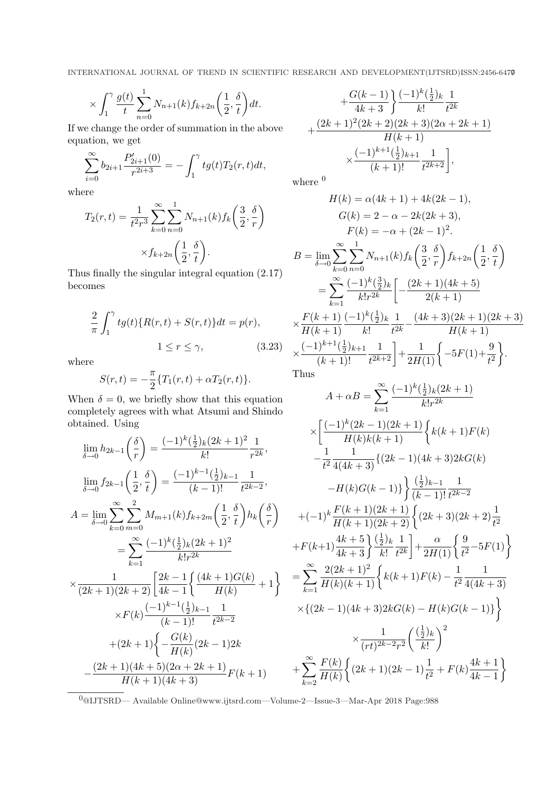$$
\times \int_1^\gamma \frac{g(t)}{t} \sum_{n=0}^1 N_{n+1}(k) f_{k+2n}\left(\frac{1}{2}, \frac{\delta}{t}\right) dt.
$$

If we change the order of summation in the above equation, we get

$$
\sum_{i=0}^{\infty} b_{2i+1} \frac{P'_{2i+1}(0)}{r^{2i+3}} = -\int_{1}^{\gamma} tg(t)T_2(r,t)dt,
$$

where

$$
T_2(r,t) = \frac{1}{t^2 r^3} \sum_{k=0}^{\infty} \sum_{n=0}^{1} N_{n+1}(k) f_k\left(\frac{3}{2}, \frac{\delta}{r}\right)
$$

$$
\times f_{k+2n}\left(\frac{1}{2}, \frac{\delta}{t}\right).
$$

Thus finally the singular integral equation (2.17) becomes

$$
\frac{2}{\pi} \int_1^{\gamma} t g(t) \{ R(r, t) + S(r, t) \} dt = p(r),
$$
  

$$
1 \le r \le \gamma,
$$
 (3.23)

where

$$
S(r,t) = -\frac{\pi}{2} \{T_1(r,t) + \alpha T_2(r,t)\}.
$$

When  $\delta = 0$ , we briefly show that this equation completely agrees with what Atsumi and Shindo obtained. Using

$$
\lim_{\delta \to 0} h_{2k-1} \left( \frac{\delta}{r} \right) = \frac{(-1)^k (\frac{1}{2})_k (2k+1)^2}{k!} \frac{1}{r^{2k}},
$$
\n
$$
\lim_{\delta \to 0} f_{2k-1} \left( \frac{1}{2}, \frac{\delta}{t} \right) = \frac{(-1)^{k-1} (\frac{1}{2})_{k-1}}{(k-1)!} \frac{1}{t^{2k-2}},
$$
\n
$$
A = \lim_{\delta \to 0} \sum_{k=0}^{\infty} \sum_{m=0}^{2} M_{m+1}(k) f_{k+2m} \left( \frac{1}{2}, \frac{\delta}{t} \right) h_k \left( \frac{\delta}{r} \right) =
$$
\n
$$
= \sum_{k=1}^{\infty} \frac{(-1)^k (\frac{1}{2})_k (2k+1)^2}{k! r^{2k}} +
$$
\n
$$
\times \frac{1}{(2k+1)(2k+2)} \left[ \frac{2k-1}{4k-1} \left\{ \frac{(4k+1)G(k)}{H(k)} + 1 \right\} \right] =
$$
\n
$$
\times F(k) \frac{(-1)^{k-1} (\frac{1}{2})_{k-1}}{(k-1)!} \frac{1}{t^{2k-2}} +
$$
\n
$$
+ (2k+1) \left\{ -\frac{G(k)}{H(k)} (2k-1)2k - \frac{(2k+1)(4k+5)(2\alpha+2k+1)}{H(k+1)(4k+3)} F(k+1) \right\} +
$$

$$
+\frac{G(k-1)}{4k+3}\left\{\frac{(-1)^k(\frac{1}{2})_k}{k!}\frac{1}{t^{2k}}\right\}
$$

$$
+\frac{(2k+1)^2(2k+2)(2k+3)(2\alpha+2k+1)}{H(k+1)}
$$

$$
\times \frac{(-1)^{k+1}(\frac{1}{2})_{k+1}}{(k+1)!}\frac{1}{t^{2k+2}}\right\},
$$

where  $<sup>0</sup>$ </sup>

$$
H(k) = \alpha(4k+1) + 4k(2k-1),
$$
  
\n
$$
G(k) = 2 - \alpha - 2k(2k+3),
$$
  
\n
$$
F(k) = -\alpha + (2k-1)^2.
$$
  
\n
$$
B = \lim_{\delta \to 0} \sum_{k=0}^{\infty} \sum_{n=0}^{1} N_{n+1}(k) f_k\left(\frac{3}{2}, \frac{\delta}{r}\right) f_{k+2n}\left(\frac{1}{2}, \frac{\delta}{t}\right)
$$
  
\n
$$
= \sum_{k=1}^{\infty} \frac{(-1)^k(\frac{3}{2})_k}{k!r^{2k}} \left[ -\frac{(2k+1)(4k+5)}{2(k+1)} \right]
$$
  
\n
$$
\times \frac{F(k+1)}{H(k+1)} \frac{(-1)^k(\frac{1}{2})_k}{k!} \frac{1}{t^{2k}} - \frac{(4k+3)(2k+1)(2k+3)}{H(k+1)}
$$
  
\n
$$
\times \frac{(-1)^{k+1}(\frac{1}{2})_{k+1}}{(k+1)!} \frac{1}{t^{2k+2}} \right] + \frac{1}{2H(1)} \left\{ -5F(1) + \frac{9}{t^2} \right\}.
$$

Thus

$$
A + \alpha B = \sum_{k=1}^{\infty} \frac{(-1)^k (\frac{1}{2})_k (2k+1)}{k! r^{2k}}
$$
  
\n
$$
\times \left[ \frac{(-1)^k (2k-1)(2k+1)}{H(k)k(k+1)} \left\{ k(k+1)F(k) - \frac{1}{t^2} \frac{1}{4(4k+3)} \left\{ (2k-1)(4k+3)2kG(k) - H(k)G(k-1) \right\} \right\} \frac{(\frac{1}{2})_{k-1}}{(k-1)!} \frac{1}{t^{2k-2}}
$$
  
\n
$$
+ (-1)^k \frac{F(k+1)(2k+1)}{H(k+1)(2k+2)} \left\{ (2k+3)(2k+2) \frac{1}{t^2} + F(k+1) \frac{4k+5}{4k+3} \right\} \frac{(\frac{1}{2})_k}{k!} \frac{1}{t^{2k}} \right\} + \frac{\alpha}{2H(1)} \left\{ \frac{9}{t^2} - 5F(1) \right\}
$$
  
\n
$$
= \sum_{k=1}^{\infty} \frac{2(2k+1)^2}{H(k)(k+1)} \left\{ k(k+1)F(k) - \frac{1}{t^2} \frac{1}{4(4k+3)} \right\}
$$
  
\n
$$
\times \left\{ (2k-1)(4k+3)2kG(k) - H(k)G(k-1) \right\}
$$
  
\n
$$
\times \frac{1}{(rt)^{2k-2}r^2} \left( \frac{(\frac{1}{2})_k}{k!} \right)^2
$$
  
\n
$$
+ \sum_{k=2}^{\infty} \frac{F(k)}{H(k)} \left\{ (2k+1)(2k-1) \frac{1}{t^2} + F(k) \frac{4k+1}{4k-1} \right\}
$$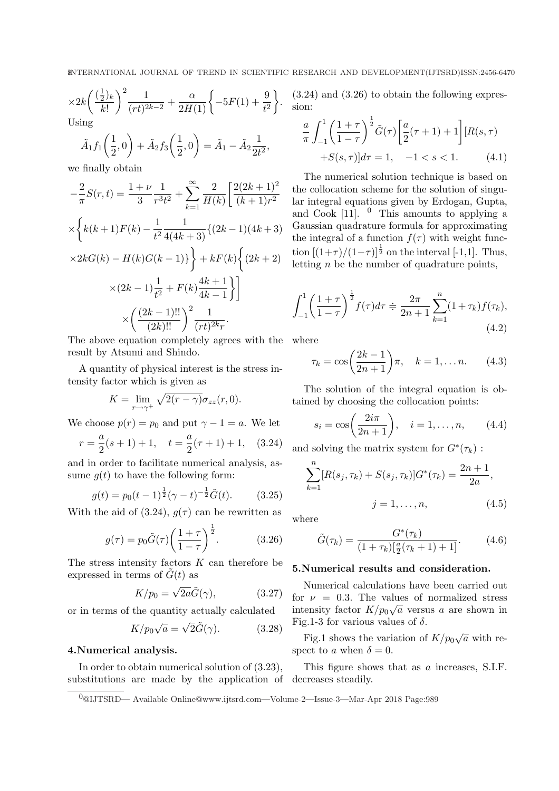$$
\times 2k \left(\frac{(\frac{1}{2})_k}{k!}\right)^2 \frac{1}{(rt)^{2k-2}} + \frac{\alpha}{2H(1)} \left\{-5F(1) + \frac{9}{t^2}\right\}.
$$
  
Using

$$
\tilde{A}_1 f_1\left(\frac{1}{2},0\right) + \tilde{A}_2 f_3\left(\frac{1}{2},0\right) = \tilde{A}_1 - \tilde{A}_2 \frac{1}{2t^2},
$$

we finally obtain

$$
-\frac{2}{\pi}S(r,t) = \frac{1+\nu}{3} \frac{1}{r^3 t^2} + \sum_{k=1}^{\infty} \frac{2}{H(k)} \left[ \frac{2(2k+1)^2}{(k+1)r^2} \right]
$$

$$
\times \left\{ k(k+1)F(k) - \frac{1}{t^2} \frac{1}{4(4k+3)} \{ (2k-1)(4k+3) \right\}
$$

$$
\times 2kG(k) - H(k)G(k-1) \right\} + kF(k) \left\{ (2k+2) \right\}
$$

$$
\times (2k-1) \frac{1}{t^2} + F(k) \frac{4k+1}{4k-1} \Big\} \Big]
$$

$$
\times \left( \frac{(2k-1)!!}{(2k)!!} \right)^2 \frac{1}{(rt)^{2k}r}.
$$

The above equation completely agrees with the where result by Atsumi and Shindo.

A quantity of physical interest is the stress intensity factor which is given as

$$
K = \lim_{r \to \gamma^+} \sqrt{2(r - \gamma)} \sigma_{zz}(r, 0).
$$

We choose  $p(r) = p_0$  and put  $\gamma - 1 = a$ . We let

$$
r = \frac{a}{2}(s+1) + 1
$$
,  $t = \frac{a}{2}(\tau+1) + 1$ , (3.24)

and in order to facilitate numerical analysis, assume  $q(t)$  to have the following form:

$$
g(t) = p_0(t-1)^{\frac{1}{2}}(\gamma - t)^{-\frac{1}{2}}\tilde{G}(t).
$$
 (3.25)

With the aid of (3.24),  $g(\tau)$  can be rewritten as

$$
g(\tau) = p_0 \tilde{G}(\tau) \left(\frac{1+\tau}{1-\tau}\right)^{\frac{1}{2}}.
$$
 (3.26)

The stress intensity factors  $K$  can therefore be expressed in terms of  $\tilde{G}(t)$  as

$$
K/p_0 = \sqrt{2a}\tilde{G}(\gamma), \qquad (3.27)
$$

or in terms of the quantity actually calculated

$$
K/p_0\sqrt{a} = \sqrt{2}\tilde{G}(\gamma).
$$
 (3.28)

#### 4.Numerical analysis.

In order to obtain numerical solution of (3.23), substitutions are made by the application of decreases steadily.

(3.24) and (3.26) to obtain the following expression:

$$
\frac{a}{\pi} \int_{-1}^{1} \left(\frac{1+\tau}{1-\tau}\right)^{\frac{1}{2}} \tilde{G}(\tau) \left[\frac{a}{2}(\tau+1)+1\right] [R(s,\tau) + S(s,\tau)] d\tau = 1, -1 < s < 1.
$$
 (4.1)

The numerical solution technique is based on the collocation scheme for the solution of singular integral equations given by Erdogan, Gupta, and Cook  $[11]$ . <sup>0</sup> This amounts to applying a Gaussian quadrature formula for approximating the integral of a function  $f(\tau)$  with weight function  $[(1+\tau)/(1-\tau)]^{\frac{1}{2}}$  on the interval [-1,1]. Thus, letting  $n$  be the number of quadrature points,

$$
\int_{-1}^{1} \left(\frac{1+\tau}{1-\tau}\right)^{\frac{1}{2}} f(\tau) d\tau \doteqdot \frac{2\pi}{2n+1} \sum_{k=1}^{n} (1+\tau_k) f(\tau_k),\tag{4.2}
$$

$$
\tau_k = \cos\left(\frac{2k-1}{2n+1}\right)\pi, \quad k = 1, \dots n. \tag{4.3}
$$

The solution of the integral equation is obtained by choosing the collocation points:

$$
s_i = \cos\left(\frac{2i\pi}{2n+1}\right), \quad i = 1, ..., n,
$$
 (4.4)

and solving the matrix system for  $G^*(\tau_k)$ :

$$
\sum_{k=1}^{n} [R(s_j, \tau_k) + S(s_j, \tau_k)] G^*(\tau_k) = \frac{2n+1}{2a},
$$
  

$$
j = 1, ..., n,
$$
 (4.5)

where

$$
\tilde{G}(\tau_k) = \frac{G^*(\tau_k)}{(1+\tau_k)[\frac{a}{2}(\tau_k+1)+1]}.
$$
 (4.6)

#### 5.Numerical results and consideration.

Numerical calculations have been carried out for  $\nu = 0.3$ . The values of normalized stress intensity factor  $K/p_0\sqrt{a}$  versus a are shown in Fig.1-3 for various values of  $\delta$ .

Fig.1 shows the variation of  $K/p_0\sqrt{a}$  with respect to a when  $\delta = 0$ .

This figure shows that as a increases, S.I.F.

<sup>0</sup>@IJTSRD— Available Online@www.ijtsrd.com—Volume-2—Issue-3—Mar-Apr 2018 Page:989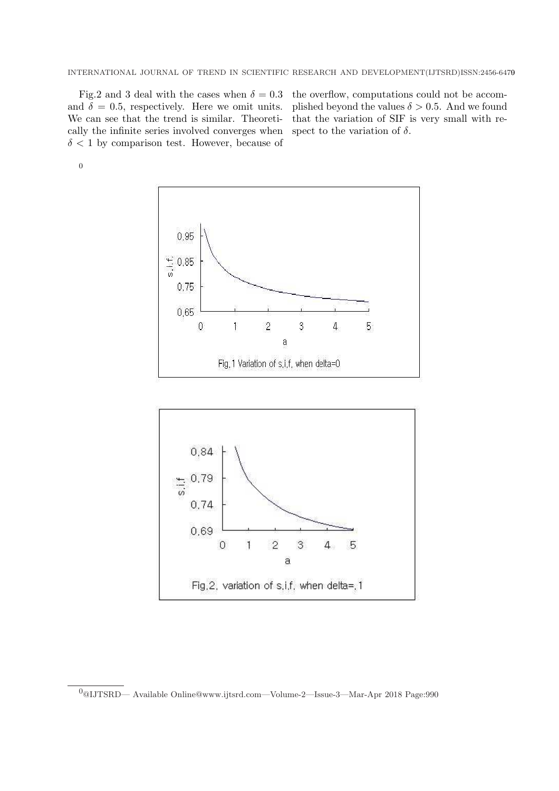Fig.2 and 3 deal with the cases when  $\delta = 0.3$  the overflow, computations could not be accomand  $\delta = 0.5$ , respectively. Here we omit units. We can see that the trend is similar. Theoretically the infinite series involved converges when  $\delta$  < 1 by comparison test. However, because of

plished beyond the values  $\delta > 0.5$ . And we found that the variation of SIF is very small with respect to the variation of  $\delta$ .

0





 $^0$ @IJTSRD— Available Online@www.ijtsrd.com—Volume-2—Issue-3—Mar-Apr 2018 Page:990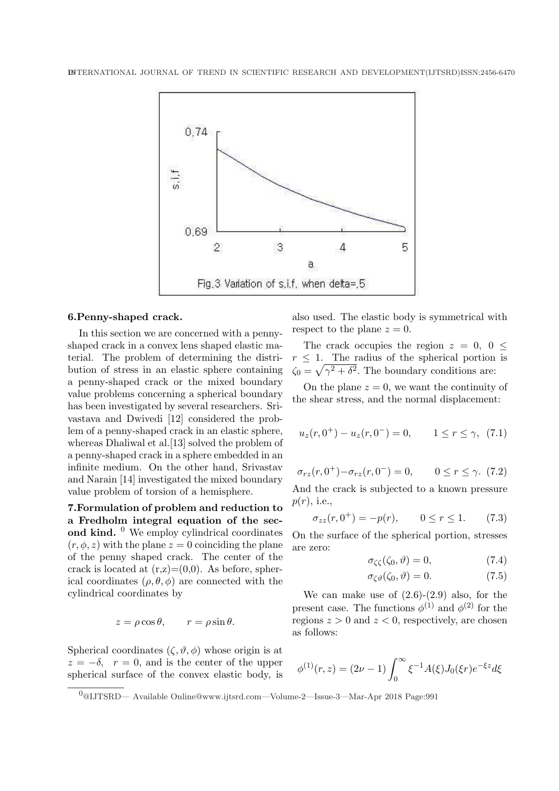

### 6.Penny-shaped crack.

In this section we are concerned with a pennyshaped crack in a convex lens shaped elastic material. The problem of determining the distribution of stress in an elastic sphere containing a penny-shaped crack or the mixed boundary value problems concerning a spherical boundary has been investigated by several researchers. Srivastava and Dwivedi [12] considered the problem of a penny-shaped crack in an elastic sphere, whereas Dhaliwal et al. [13] solved the problem of a penny-shaped crack in a sphere embedded in an infinite medium. On the other hand, Srivastav and Narain [14] investigated the mixed boundary value problem of torsion of a hemisphere.

7.Formulation of problem and reduction to a Fredholm integral equation of the second kind.  $\overset{0}{\phantom{a}}$  We employ cylindrical coordinates  $(r, \phi, z)$  with the plane  $z = 0$  coinciding the plane of the penny shaped crack. The center of the crack is located at  $(r,z)=(0,0)$ . As before, spherical coordinates  $(\rho, \theta, \phi)$  are connected with the cylindrical coordinates by

$$
z = \rho \cos \theta
$$
,  $r = \rho \sin \theta$ .

Spherical coordinates  $(\zeta, \vartheta, \phi)$  whose origin is at  $z = -\delta$ ,  $r = 0$ , and is the center of the upper spherical surface of the convex elastic body, is

also used. The elastic body is symmetrical with respect to the plane  $z = 0$ .

The crack occupies the region  $z = 0, 0 \leq$  $r \leq 1$ . The radius of the spherical portion is  $\zeta_0 = \sqrt{\gamma^2 + \delta^2}$ . The boundary conditions are:

On the plane  $z = 0$ , we want the continuity of the shear stress, and the normal displacement:

$$
u_z(r, 0^+) - u_z(r, 0^-) = 0, \qquad 1 \le r \le \gamma, \tag{7.1}
$$

$$
\sigma_{rz}(r, 0^+) - \sigma_{rz}(r, 0^-) = 0, \qquad 0 \le r \le \gamma. \tag{7.2}
$$

And the crack is subjected to a known pressure  $p(r)$ , i.e.,

$$
\sigma_{zz}(r, 0^+) = -p(r), \qquad 0 \le r \le 1. \tag{7.3}
$$

On the surface of the spherical portion, stresses are zero:

$$
\sigma_{\zeta\zeta}(\zeta_0, \vartheta) = 0,\tag{7.4}
$$

$$
\sigma_{\zeta\vartheta}(\zeta_0, \vartheta) = 0. \tag{7.5}
$$

We can make use of  $(2.6)-(2.9)$  also, for the present case. The functions  $\phi^{(1)}$  and  $\phi^{(2)}$  for the regions  $z > 0$  and  $z < 0$ , respectively, are chosen as follows:

$$
\phi^{(1)}(r,z) = (2\nu - 1) \int_0^\infty \xi^{-1} A(\xi) J_0(\xi r) e^{-\xi z} d\xi
$$

<sup>0</sup>@IJTSRD— Available Online@www.ijtsrd.com—Volume-2—Issue-3—Mar-Apr 2018 Page:991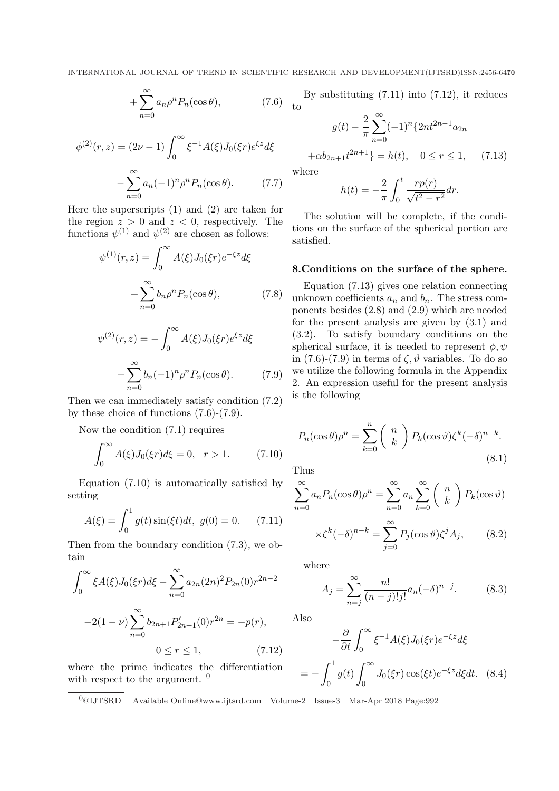$$
+\sum_{n=0}^{\infty} a_n \rho^n P_n(\cos \theta),\tag{7.6}
$$

$$
\phi^{(2)}(r,z) = (2\nu - 1) \int_0^\infty \xi^{-1} A(\xi) J_0(\xi r) e^{\xi z} d\xi
$$

$$
- \sum_{n=0}^\infty a_n (-1)^n \rho^n P_n(\cos \theta). \tag{7.7}
$$

Here the superscripts (1) and (2) are taken for the region  $z > 0$  and  $z < 0$ , respectively. The functions  $\psi^{(1)}$  and  $\psi^{(2)}$  are chosen as follows:

$$
\psi^{(1)}(r,z) = \int_0^\infty A(\xi) J_0(\xi r) e^{-\xi z} d\xi
$$

$$
+ \sum_{n=0}^\infty b_n \rho^n P_n(\cos \theta), \tag{7.8}
$$

$$
\psi^{(2)}(r,z) = -\int_0^\infty A(\xi)J_0(\xi r)e^{\xi z}d\xi
$$

$$
+\sum_{n=0}^\infty b_n(-1)^n\rho^n P_n(\cos\theta). \tag{7.9}
$$

Then we can immediately satisfy condition (7.2) by these choice of functions (7.6)-(7.9).

Now the condition (7.1) requires

$$
\int_0^\infty A(\xi) J_0(\xi r) d\xi = 0, \ \ r > 1.
$$
 (7.10)

Equation (7.10) is automatically satisfied by setting

$$
A(\xi) = \int_0^1 g(t) \sin(\xi t) dt, \ g(0) = 0. \tag{7.11}
$$

Then from the boundary condition (7.3), we obtain

$$
\int_0^\infty \xi A(\xi) J_0(\xi r) d\xi - \sum_{n=0}^\infty a_{2n} (2n)^2 P_{2n}(0) r^{2n-2}
$$

$$
-2(1-\nu) \sum_{n=0}^\infty b_{2n+1} P'_{2n+1}(0) r^{2n} = -p(r),
$$

$$
0 \le r \le 1,
$$
(7.12)

where the prime indicates the differentiation with respect to the argument.  $\theta$ 

By substituting (7.11) into (7.12), it reduces  $\pm$  to

$$
g(t) - \frac{2}{\pi} \sum_{n=0}^{\infty} (-1)^n \{2nt^{2n-1} a_{2n}
$$

$$
+ \alpha b_{2n+1} t^{2n+1} \} = h(t), \quad 0 \le r \le 1, \quad (7.13)
$$

wher

$$
h(t) = -\frac{2}{\pi} \int_0^t \frac{rp(r)}{\sqrt{t^2 - r^2}} dr.
$$

The solution will be complete, if the conditions on the surface of the spherical portion are satisfied.

## 8.Conditions on the surface of the sphere.

Equation (7.13) gives one relation connecting unknown coefficients  $a_n$  and  $b_n$ . The stress components besides (2.8) and (2.9) which are needed for the present analysis are given by (3.1) and (3.2). To satisfy boundary conditions on the spherical surface, it is needed to represent  $\phi, \psi$ in (7.6)-(7.9) in terms of  $\zeta$ ,  $\vartheta$  variables. To do so we utilize the following formula in the Appendix 2. An expression useful for the present analysis is the following

$$
P_n(\cos \theta)\rho^n = \sum_{k=0}^n {n \choose k} P_k(\cos \theta) \zeta^k (-\delta)^{n-k}.
$$
\n(8.1)

Thus

$$
\sum_{n=0}^{\infty} a_n P_n(\cos \theta) \rho^n = \sum_{n=0}^{\infty} a_n \sum_{k=0}^{\infty} \binom{n}{k} P_k(\cos \vartheta)
$$

$$
\times \zeta^{k}(-\delta)^{n-k} = \sum_{j=0}^{\infty} P_j(\cos \vartheta) \zeta^{j} A_j, \qquad (8.2)
$$

where

$$
A_j = \sum_{n=j}^{\infty} \frac{n!}{(n-j)!j!} a_n (-\delta)^{n-j}.
$$
 (8.3)

Also

$$
-\frac{\partial}{\partial t}\int_0^\infty \xi^{-1}A(\xi)J_0(\xi r)e^{-\xi z}d\xi
$$

$$
= -\int_0^1 g(t) \int_0^\infty J_0(\xi r) \cos(\xi t) e^{-\xi z} d\xi dt. \quad (8.4)
$$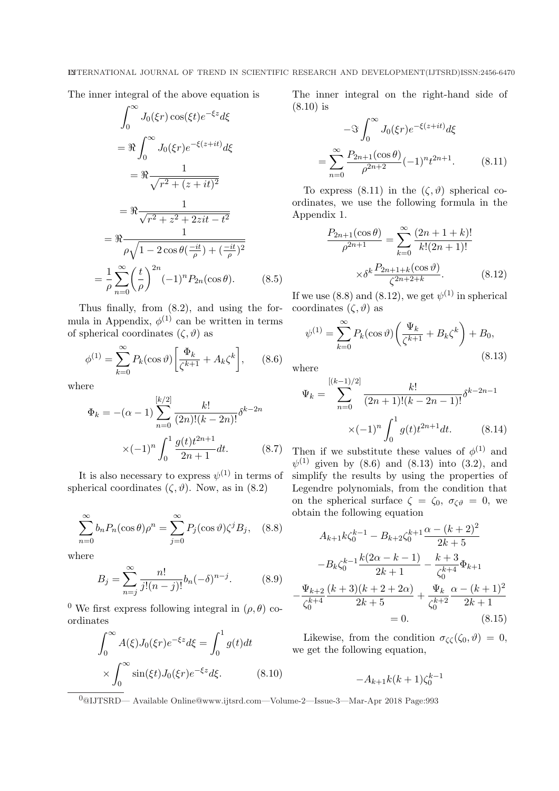The inner integral of the above equation is

$$
\int_0^\infty J_0(\xi r) \cos(\xi t) e^{-\xi z} d\xi
$$
  
=  $\Re \int_0^\infty J_0(\xi r) e^{-\xi(z+it)} d\xi$   
=  $\Re \frac{1}{\sqrt{r^2 + (z+it)^2}}$   
=  $\Re \frac{1}{\rho \sqrt{1 - 2 \cos \theta(\frac{-it}{\rho}) + (\frac{-it}{\rho})^2}}$   
=  $\frac{1}{\rho} \sum_{n=0}^\infty \left(\frac{t}{\rho}\right)^{2n} (-1)^n P_{2n}(\cos \theta).$  (8.5)

Thus finally, from (8.2), and using the formula in Appendix,  $\phi^{(1)}$  can be written in terms of spherical coordinates  $(\zeta, \vartheta)$  as

$$
\phi^{(1)} = \sum_{k=0}^{\infty} P_k(\cos \vartheta) \left[ \frac{\Phi_k}{\zeta^{k+1}} + A_k \zeta^k \right], \qquad (8.6)
$$

where

=

$$
\Phi_k = -(\alpha - 1) \sum_{n=0}^{\lfloor k/2 \rfloor} \frac{k!}{(2n)!(k - 2n)!} \delta^{k - 2n}
$$

$$
\times (-1)^n \int_0^1 \frac{g(t)t^{2n+1}}{2n+1} dt. \tag{8.7}
$$

It is also necessary to express  $\psi^{(1)}$  in terms of spherical coordinates  $(\zeta, \vartheta)$ . Now, as in (8.2)

$$
\sum_{n=0}^{\infty} b_n P_n(\cos \theta) \rho^n = \sum_{j=0}^{\infty} P_j(\cos \theta) \zeta^j B_j, \quad (8.8)
$$

where

$$
B_j = \sum_{n=j}^{\infty} \frac{n!}{j!(n-j)!} b_n(-\delta)^{n-j}.
$$
 (8.9)

<sup>0</sup> We first express following integral in  $(\rho, \theta)$  coordinates

$$
\int_0^\infty A(\xi)J_0(\xi r)e^{-\xi z}d\xi = \int_0^1 g(t)dt
$$

$$
\times \int_0^\infty \sin(\xi t)J_0(\xi r)e^{-\xi z}d\xi.
$$
(8.10)

The inner integral on the right-hand side of (8.10) is

$$
- \Im \int_0^\infty J_0(\xi r) e^{-\xi(z+it)} d\xi
$$
  
= 
$$
\sum_{n=0}^\infty \frac{P_{2n+1}(\cos \theta)}{\rho^{2n+2}} (-1)^n t^{2n+1}.
$$
 (8.11)

To express  $(8.11)$  in the  $(\zeta, \vartheta)$  spherical coordinates, we use the following formula in the Appendix 1.

$$
\frac{P_{2n+1}(\cos\theta)}{\rho^{2n+1}} = \sum_{k=0}^{\infty} \frac{(2n+1+k)!}{k!(2n+1)!}
$$

$$
\times \delta^k \frac{P_{2n+1+k}(\cos\vartheta)}{\zeta^{2n+2+k}}.
$$
(8.12)

If we use (8.8) and (8.12), we get  $\psi^{(1)}$  in spherical coordinates  $(\zeta, \vartheta)$  as

$$
\psi^{(1)} = \sum_{k=0}^{\infty} P_k(\cos \vartheta) \left(\frac{\Psi_k}{\zeta^{k+1}} + B_k \zeta^k\right) + B_0,
$$
\n(8.13)

where

$$
\Psi_k = \sum_{n=0}^{[(k-1)/2]} \frac{k!}{(2n+1)!(k-2n-1)!} \delta^{k-2n-1} \times (-1)^n \int_0^1 g(t) t^{2n+1} dt.
$$
 (8.14)

Then if we substitute these values of  $\phi^{(1)}$  and  $\psi^{(1)}$  given by (8.6) and (8.13) into (3.2), and simplify the results by using the properties of Legendre polynomials, from the condition that on the spherical surface  $\zeta = \zeta_0$ ,  $\sigma_{\zeta\vartheta} = 0$ , we obtain the following equation

$$
A_{k+1}k\zeta_0^{k-1} - B_{k+2}\zeta_0^{k+1} \frac{\alpha - (k+2)^2}{2k+5}
$$

$$
-B_k\zeta_0^{k-1} \frac{k(2\alpha - k - 1)}{2k+1} - \frac{k+3}{\zeta_0^{k+4}} \Phi_{k+1}
$$

$$
-\frac{\Psi_{k+2}}{\zeta_0^{k+4}} \frac{(k+3)(k+2+2\alpha)}{2k+5} + \frac{\Psi_k}{\zeta_0^{k+2}} \frac{\alpha - (k+1)^2}{2k+1}
$$

$$
= 0. \tag{8.15}
$$

Likewise, from the condition  $\sigma_{\zeta\zeta}(\zeta_0,\vartheta)=0$ , we get the following equation,

$$
-A_{k+1}k(k+1)\zeta_0^{k-1}
$$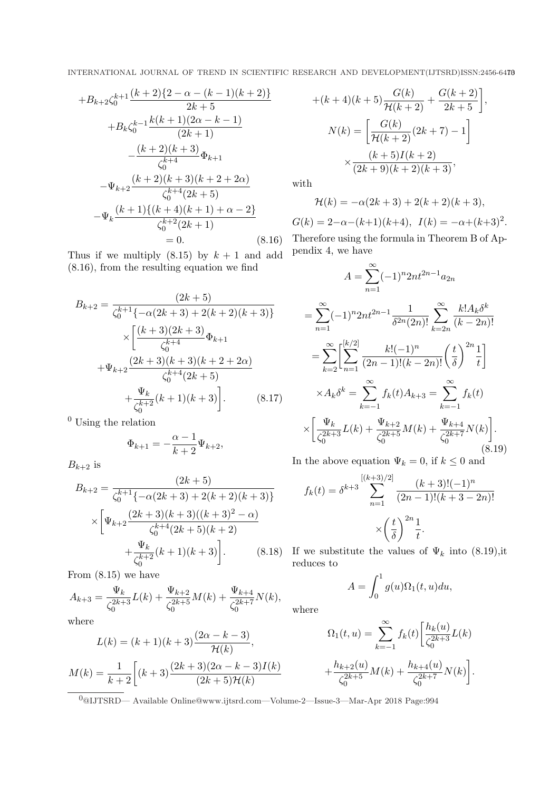$$
+B_{k+2}\zeta_0^{k+1}\frac{(k+2)\{2-\alpha-(k-1)(k+2)\}}{2k+5}
$$
  
+
$$
B_k\zeta_0^{k-1}\frac{k(k+1)(2\alpha-k-1)}{(2k+1)}
$$
  

$$
-\frac{(k+2)(k+3)}{\zeta_0^{k+4}}\Phi_{k+1}
$$
  

$$
-\Psi_{k+2}\frac{(k+2)(k+3)(k+2+2\alpha)}{\zeta_0^{k+4}(2k+5)}
$$
  

$$
-\Psi_k\frac{(k+1)\{(k+4)(k+1)+\alpha-2\}}{\zeta_0^{k+2}(2k+1)}
$$
  
= 0. (8.16)

Thus if we multiply  $(8.15)$  by  $k + 1$  and add (8.16), from the resulting equation we find

$$
B_{k+2} = \frac{(2k+5)}{\zeta_0^{k+1}\{-\alpha(2k+3) + 2(k+2)(k+3)\}}\times \left[\frac{(k+3)(2k+3)}{\zeta_0^{k+4}}\Phi_{k+1} + \Psi_{k+2}\frac{(2k+3)(k+3)(k+2+2\alpha)}{\zeta_0^{k+4}(2k+5)} + \frac{\Psi_k}{\zeta_0^{k+2}}(k+1)(k+3)\right].
$$
 (8.17)

 $<sup>0</sup>$  Using the relation</sup>

$$
\Phi_{k+1} = -\frac{\alpha - 1}{k+2} \Psi_{k+2},
$$

 $B_{k+2}$  is

$$
B_{k+2} = \frac{(2k+5)}{\zeta_0^{k+1}\{-\alpha(2k+3) + 2(k+2)(k+3)\}}
$$

$$
\times \left[\Psi_{k+2} \frac{(2k+3)(k+3)((k+3)^2 - \alpha)}{\zeta_0^{k+4}(2k+5)(k+2)} + \frac{\Psi_k}{\zeta_0^{k+2}}(k+1)(k+3)\right].
$$
 (8.18)

From (8.15) we have

$$
A_{k+3} = \frac{\Psi_k}{\zeta_0^{2k+3}} L(k) + \frac{\Psi_{k+2}}{\zeta_0^{2k+5}} M(k) + \frac{\Psi_{k+4}}{\zeta_0^{2k+7}} N(k),
$$

where

$$
L(k) = (k+1)(k+3)\frac{(2\alpha - k - 3)}{\mathcal{H}(k)},
$$

$$
M(k) = \frac{1}{k+2} \left[ (k+3)\frac{(2k+3)(2\alpha - k - 3)I(k)}{(2k+5)\mathcal{H}(k)} \right]
$$

 $+(k+4)(k+5)\frac{G(k)}{H(k+2)}+\frac{G(k+2)}{2k+5}$  $\frac{3(k+2)}{2k+5}\Bigg],$  $N(k) = \left[\frac{G(k)}{\mathcal{H}(k+2)}(2k+7) - 1\right]$  $\overline{a}$  $\times \frac{(k+5)I(k+2)}{(2k+9)(k+2)(k+3)},$ 

with

$$
\mathcal{H}(k) = -\alpha(2k+3) + 2(k+2)(k+3),
$$
  

$$
G(k) = 2 - \alpha - (k+1)(k+4), \ I(k) = -\alpha + (k+3)^2.
$$

Therefore using the formula in Theorem B of Appendix 4, we have

$$
A = \sum_{n=1}^{\infty} (-1)^n 2nt^{2n-1} a_{2n}
$$
  
= 
$$
\sum_{n=1}^{\infty} (-1)^n 2nt^{2n-1} \frac{1}{\delta^{2n} (2n)!} \sum_{k=2n}^{\infty} \frac{k! A_k \delta^k}{(k-2n)!}
$$
  
= 
$$
\sum_{k=2}^{\infty} \left[ \sum_{n=1}^{[k/2]} \frac{k! (-1)^n}{(2n-1)! (k-2n)!} \left( \frac{t}{\delta} \right)^{2n} \frac{1}{t} \right]
$$
  

$$
\times A_k \delta^k = \sum_{k=-1}^{\infty} f_k(t) A_{k+3} = \sum_{k=-1}^{\infty} f_k(t)
$$
  

$$
\times \left[ \frac{\Psi_k}{\zeta_0^{2k+3}} L(k) + \frac{\Psi_{k+2}}{\zeta_0^{2k+5}} M(k) + \frac{\Psi_{k+4}}{\zeta_0^{2k+7}} N(k) \right].
$$
 (8.19)

In the above equation  $\Psi_k = 0$ , if  $k \leq 0$  and

$$
f_k(t) = \delta^{k+3} \sum_{n=1}^{\left[(k+3)/2\right]} \frac{(k+3)!(-1)^n}{(2n-1)!(k+3-2n)!}
$$

$$
\times \left(\frac{t}{\delta}\right)^{2n} \frac{1}{t}.
$$

If we substitute the values of  $\Psi_k$  into (8.19), it reduces to

$$
A = \int_0^1 g(u)\Omega_1(t, u) du,
$$

where

$$
\Omega_1(t, u) = \sum_{k=-1}^{\infty} f_k(t) \left[ \frac{h_k(u)}{\zeta_0^{2k+3}} L(k) + \frac{h_{k+2}(u)}{\zeta_0^{2k+5}} M(k) + \frac{h_{k+4}(u)}{\zeta_0^{2k+7}} N(k) \right].
$$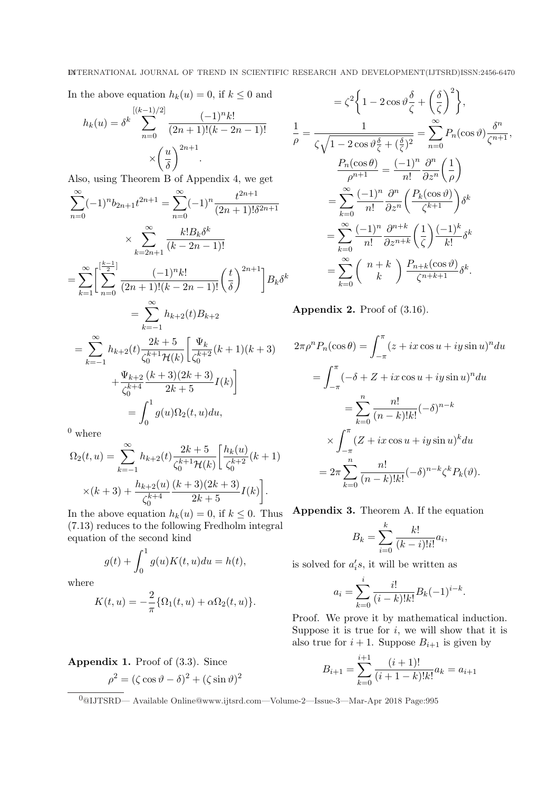In the above equation  $h_k(u) = 0$ , if  $k \leq 0$  and

$$
h_k(u) = \delta^k \sum_{n=0}^{[(k-1)/2]} \frac{(-1)^n k!}{(2n+1)!(k-2n-1)!}
$$

$$
\times \left(\frac{u}{\delta}\right)^{2n+1}.
$$

Also, using Theorem B of Appendix 4, we get

$$
\sum_{n=0}^{\infty} (-1)^n b_{2n+1} t^{2n+1} = \sum_{n=0}^{\infty} (-1)^n \frac{t^{2n+1}}{(2n+1)!\delta^{2n+1}}
$$
  
\n
$$
\times \sum_{k=2n+1}^{\infty} \frac{k! B_k \delta^k}{(k-2n-1)!}
$$
  
\n
$$
= \sum_{k=1}^{\infty} \left[ \sum_{n=0}^{\lfloor \frac{k-1}{2} \rfloor} \frac{(-1)^n k!}{(2n+1)!(k-2n-1)!} \left( \frac{t}{\delta} \right)^{2n+1} \right] B_k \delta^k
$$
  
\n
$$
= \sum_{k=-1}^{\infty} h_{k+2}(t) B_{k+2}
$$
  
\n
$$
= \sum_{k=-1}^{\infty} h_{k+2}(t) \frac{2k+5}{\zeta_0^{k+1} \mathcal{H}(k)} \left[ \frac{\Psi_k}{\zeta_0^{k+2}} (k+1)(k+3) + \frac{\Psi_{k+2}}{\zeta_0^{k+4}} \frac{(k+3)(2k+3)}{2k+5} I(k) \right]
$$
  
\n
$$
= \int_0^1 g(u) \Omega_2(t, u) du,
$$

 $^0$  where

$$
\Omega_2(t, u) = \sum_{k=-1}^{\infty} h_{k+2}(t) \frac{2k+5}{\zeta_0^{k+1} \mathcal{H}(k)} \left[ \frac{h_k(u)}{\zeta_0^{k+2}} (k+1) \right]
$$

$$
\times (k+3) + \frac{h_{k+2}(u)}{\zeta_0^{k+4}} \frac{(k+3)(2k+3)}{2k+5} I(k) \bigg].
$$

In the above equation  $h_k(u) = 0$ , if  $k \leq 0$ . Thus (7.13) reduces to the following Fredholm integral equation of the second kind

$$
g(t) + \int_0^1 g(u)K(t, u)du = h(t),
$$

where

$$
K(t, u) = -\frac{2}{\pi} \{ \Omega_1(t, u) + \alpha \Omega_2(t, u) \}.
$$

Appendix 1. Proof of (3.3). Since  $\rho^2 = (\zeta \cos \vartheta - \delta)^2 + (\zeta \sin \vartheta)^2$ 

$$
= \zeta^2 \left\{ 1 - 2 \cos \vartheta \frac{\delta}{\zeta} + \left(\frac{\delta}{\zeta}\right)^2 \right\},
$$
  
\n
$$
\frac{1}{\rho} = \frac{1}{\zeta \sqrt{1 - 2 \cos \vartheta \frac{\delta}{\zeta} + (\frac{\delta}{\zeta})^2}} = \sum_{n=0}^{\infty} P_n(\cos \vartheta) \frac{\delta^n}{\zeta^{n+1}},
$$
  
\n
$$
\frac{P_n(\cos \theta)}{\rho^{n+1}} = \frac{(-1)^n}{n!} \frac{\partial^n}{\partial z^n} \left(\frac{1}{\rho}\right)
$$
  
\n
$$
= \sum_{k=0}^{\infty} \frac{(-1)^n}{n!} \frac{\partial^n}{\partial z^n} \left(\frac{P_k(\cos \vartheta)}{\zeta^{k+1}}\right) \delta^k
$$
  
\n
$$
= \sum_{k=0}^{\infty} \frac{(-1)^n}{n!} \frac{\partial^{n+k}}{\partial z^{n+k}} \left(\frac{1}{\zeta}\right) \frac{(-1)^k}{k!} \delta^k
$$
  
\n
$$
= \sum_{k=0}^{\infty} {n+k \choose k} \frac{P_{n+k}(\cos \vartheta)}{\zeta^{n+k+1}} \delta^k.
$$

Appendix 2. Proof of (3.16).

$$
2\pi \rho^n P_n(\cos \theta) = \int_{-\pi}^{\pi} (z + ix \cos u + iy \sin u)^n du
$$
  
= 
$$
\int_{-\pi}^{\pi} (-\delta + Z + ix \cos u + iy \sin u)^n du
$$
  
= 
$$
\sum_{k=0}^{n} \frac{n!}{(n-k)!k!} (-\delta)^{n-k}
$$
  

$$
\times \int_{-\pi}^{\pi} (Z + ix \cos u + iy \sin u)^k du
$$
  
= 
$$
2\pi \sum_{k=0}^{n} \frac{n!}{(n-k)!k!} (-\delta)^{n-k} \zeta^k P_k(\vartheta).
$$

Appendix 3. Theorem A. If the equation

$$
B_k = \sum_{i=0}^k \frac{k!}{(k-i)!i!} a_i,
$$

is solved for  $a_i's$ , it will be written as

$$
a_i = \sum_{k=0}^i \frac{i!}{(i-k)!k!} B_k(-1)^{i-k}.
$$

Proof. We prove it by mathematical induction. Suppose it is true for  $i$ , we will show that it is also true for  $i + 1$ . Suppose  $B_{i+1}$  is given by

$$
B_{i+1} = \sum_{k=0}^{i+1} \frac{(i+1)!}{(i+1-k)!k!} a_k = a_{i+1}
$$

<sup>0</sup>@IJTSRD— Available Online@www.ijtsrd.com—Volume-2—Issue-3—Mar-Apr 2018 Page:995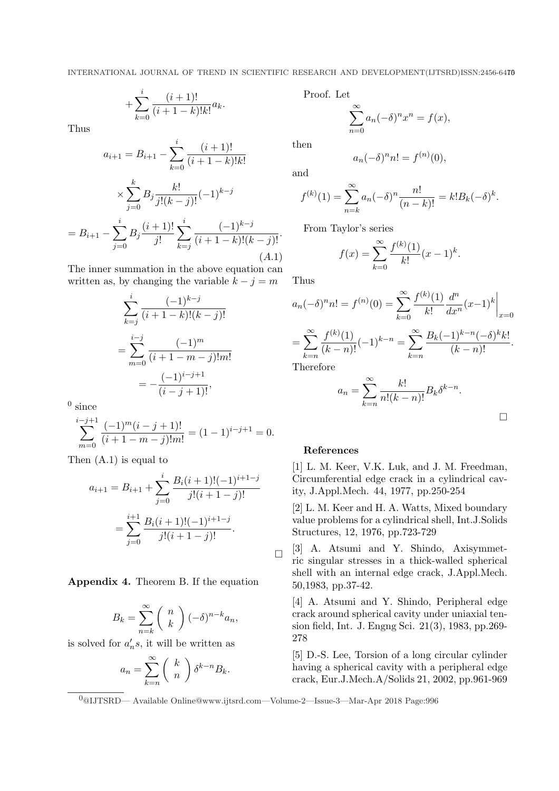$$
+\sum_{k=0}^{i} \frac{(i+1)!}{(i+1-k)!k!} a_k.
$$

Thus

$$
a_{i+1} = B_{i+1} - \sum_{k=0}^{i} \frac{(i+1)!}{(i+1-k)!k!}
$$

$$
\times \sum_{j=0}^{k} B_j \frac{k!}{j!(k-j)!} (-1)^{k-j}
$$

$$
= B_{i+1} - \sum_{j=0}^{i} B_j \frac{(i+1)!}{j!} \sum_{k=j}^{i} \frac{(-1)^{k-j}}{(i+1-k)!(k-j)!}.
$$
(A.1)

The inner summation in the above equation can written as, by changing the variable  $k - j = m$ 

$$
\sum_{k=j}^{i} \frac{(-1)^{k-j}}{(i+1-k)!(k-j)!}
$$

$$
= \sum_{m=0}^{i-j} \frac{(-1)^m}{(i+1-m-j)!m!}
$$

$$
= -\frac{(-1)^{i-j+1}}{(i-j+1)!},
$$

 $^0$  since

$$
\sum_{m=0}^{i-j+1} \frac{(-1)^m (i-j+1)!}{(i+1-m-j)!m!} = (1-1)^{i-j+1} = 0.
$$

Then (A.1) is equal to

$$
a_{i+1} = B_{i+1} + \sum_{j=0}^{i} \frac{B_i(i+1)!(-1)^{i+1-j}}{j!(i+1-j)!}
$$

$$
= \sum_{j=0}^{i+1} \frac{B_i(i+1)!(-1)^{i+1-j}}{j!(i+1-j)!}.
$$

Appendix 4. Theorem B. If the equation

$$
B_k = \sum_{n=k}^{\infty} {n \choose k} (-\delta)^{n-k} a_n,
$$

is solved for  $a'_n s$ , it will be written as

$$
a_n = \sum_{k=n}^{\infty} \binom{k}{n} \delta^{k-n} B_k.
$$

Proof. Let

$$
\sum_{n=0}^{\infty} a_n (-\delta)^n x^n = f(x),
$$

then

$$
a_n(-\delta)^n n! = f^{(n)}(0),
$$

and

$$
f^{(k)}(1) = \sum_{n=k}^{\infty} a_n (-\delta)^n \frac{n!}{(n-k)!} = k! B_k (-\delta)^k.
$$

From Taylor's series

$$
f(x) = \sum_{k=0}^{\infty} \frac{f^{(k)}(1)}{k!} (x - 1)^k.
$$

Thus

$$
a_n(-\delta)^n n! = f^{(n)}(0) = \sum_{k=0}^{\infty} \frac{f^{(k)}(1)}{k!} \frac{d^n}{dx^n} (x-1)^k \Big|_{x=0}
$$
  
= 
$$
\sum_{k=n}^{\infty} \frac{f^{(k)}(1)}{(k-n)!} (-1)^{k-n} = \sum_{k=n}^{\infty} \frac{B_k(-1)^{k-n}(-\delta)^k k!}{(k-n)!}.
$$
  
Therefore

Therefore

$$
a_n = \sum_{k=n}^{\infty} \frac{k!}{n!(k-n)!} B_k \delta^{k-n}.
$$

 $\Box$ 

# References

[1] L. M. Keer, V.K. Luk, and J. M. Freedman, Circumferential edge crack in a cylindrical cavity, J.Appl.Mech. 44, 1977, pp.250-254

[2] L. M. Keer and H. A. Watts, Mixed boundary value problems for a cylindrical shell, Int.J.Solids Structures, 12, 1976, pp.723-729

 $\Box$ [3] A. Atsumi and Y. Shindo, Axisymmetric singular stresses in a thick-walled spherical shell with an internal edge crack, J.Appl.Mech. 50,1983, pp.37-42.

[4] A. Atsumi and Y. Shindo, Peripheral edge crack around spherical cavity under uniaxial tension field, Int. J. Engng Sci. 21(3), 1983, pp.269- 278

[5] D.-S. Lee, Torsion of a long circular cylinder having a spherical cavity with a peripheral edge crack, Eur.J.Mech.A/Solids 21, 2002, pp.961-969